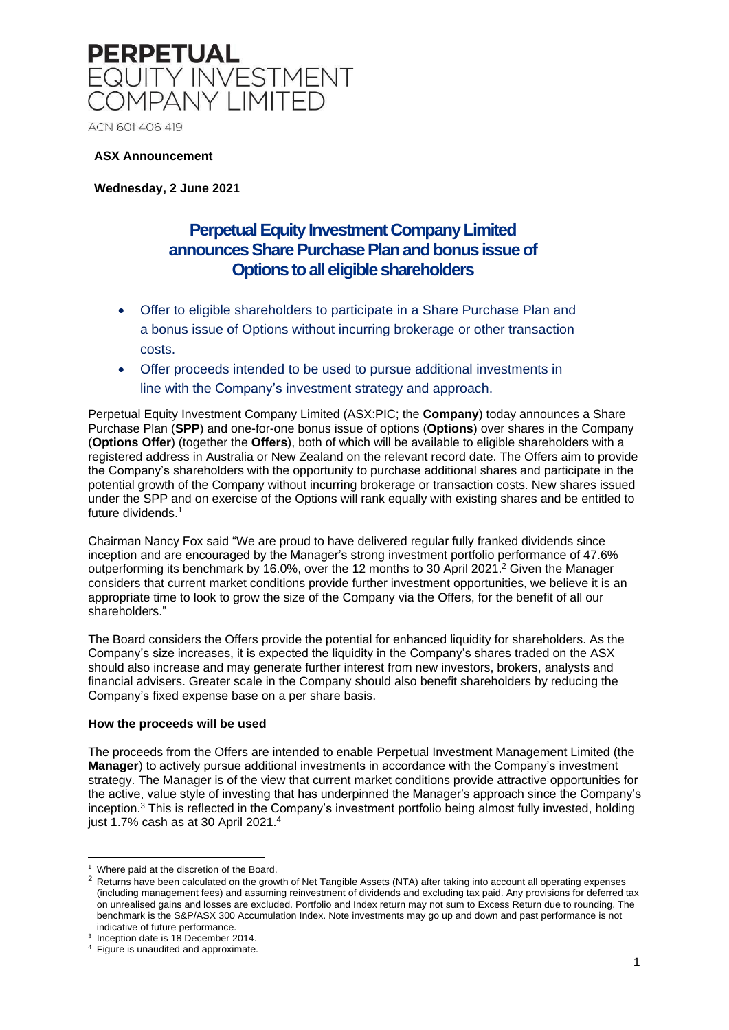

ACN 601 406 419

### **ASX Announcement**

**Wednesday, 2 June 2021**

### **Perpetual Equity Investment Company Limited announces Share Purchase Plan and bonus issue of Options to all eligible shareholders**

- Offer to eligible shareholders to participate in a Share Purchase Plan and a bonus issue of Options without incurring brokerage or other transaction costs.
- Offer proceeds intended to be used to pursue additional investments in line with the Company's investment strategy and approach.

Perpetual Equity Investment Company Limited (ASX:PIC; the **Company**) today announces a Share Purchase Plan (**SPP**) and one-for-one bonus issue of options (**Options**) over shares in the Company (**Options Offer**) (together the **Offers**), both of which will be available to eligible shareholders with a registered address in Australia or New Zealand on the relevant record date. The Offers aim to provide the Company's shareholders with the opportunity to purchase additional shares and participate in the potential growth of the Company without incurring brokerage or transaction costs. New shares issued under the SPP and on exercise of the Options will rank equally with existing shares and be entitled to future dividends. 1

Chairman Nancy Fox said "We are proud to have delivered regular fully franked dividends since inception and are encouraged by the Manager's strong investment portfolio performance of 47.6% outperforming its benchmark by 16.0%, over the 12 months to 30 April 2021.<sup>2</sup> Given the Manager considers that current market conditions provide further investment opportunities, we believe it is an appropriate time to look to grow the size of the Company via the Offers, for the benefit of all our shareholders."

The Board considers the Offers provide the potential for enhanced liquidity for shareholders. As the Company's size increases, it is expected the liquidity in the Company's shares traded on the ASX should also increase and may generate further interest from new investors, brokers, analysts and financial advisers. Greater scale in the Company should also benefit shareholders by reducing the Company's fixed expense base on a per share basis.

#### **How the proceeds will be used**

The proceeds from the Offers are intended to enable Perpetual Investment Management Limited (the **Manager**) to actively pursue additional investments in accordance with the Company's investment strategy. The Manager is of the view that current market conditions provide attractive opportunities for the active, value style of investing that has underpinned the Manager's approach since the Company's inception.<sup>3</sup> This is reflected in the Company's investment portfolio being almost fully invested, holding just 1.7% cash as at 30 April 2021.<sup>4</sup>

<sup>&</sup>lt;sup>1</sup> Where paid at the discretion of the Board.

<sup>&</sup>lt;sup>2</sup> Returns have been calculated on the growth of Net Tangible Assets (NTA) after taking into account all operating expenses (including management fees) and assuming reinvestment of dividends and excluding tax paid. Any provisions for deferred tax on unrealised gains and losses are excluded. Portfolio and Index return may not sum to Excess Return due to rounding. The benchmark is the S&P/ASX 300 Accumulation Index. Note investments may go up and down and past performance is not indicative of future performance.

<sup>&</sup>lt;sup>3</sup> Inception date is 18 December 2014.

Figure is unaudited and approximate.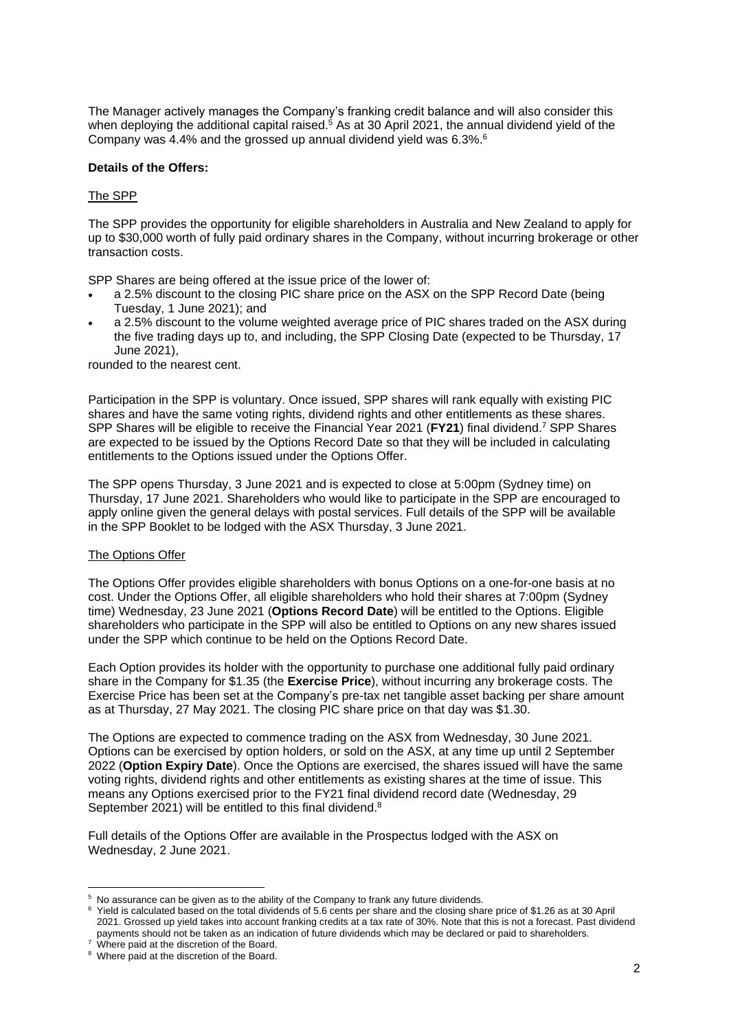The Manager actively manages the Company's franking credit balance and will also consider this when deploying the additional capital raised.<sup>5</sup> As at 30 April 2021, the annual dividend yield of the Company was 4.4% and the grossed up annual dividend yield was  $6.3\%$ .

### **Details of the Offers:**

### The SPP

The SPP provides the opportunity for eligible shareholders in Australia and New Zealand to apply for up to \$30,000 worth of fully paid ordinary shares in the Company, without incurring brokerage or other transaction costs.

SPP Shares are being offered at the issue price of the lower of:

- a 2.5% discount to the closing PIC share price on the ASX on the SPP Record Date (being Tuesday, 1 June 2021); and
- a 2.5% discount to the volume weighted average price of PIC shares traded on the ASX during the five trading days up to, and including, the SPP Closing Date (expected to be Thursday, 17 June 2021),

rounded to the nearest cent.

Participation in the SPP is voluntary. Once issued, SPP shares will rank equally with existing PIC shares and have the same voting rights, dividend rights and other entitlements as these shares. SPP Shares will be eligible to receive the Financial Year 2021 (**FY21**) final dividend. <sup>7</sup> SPP Shares are expected to be issued by the Options Record Date so that they will be included in calculating entitlements to the Options issued under the Options Offer.

The SPP opens Thursday, 3 June 2021 and is expected to close at 5:00pm (Sydney time) on Thursday, 17 June 2021. Shareholders who would like to participate in the SPP are encouraged to apply online given the general delays with postal services. Full details of the SPP will be available in the SPP Booklet to be lodged with the ASX Thursday, 3 June 2021.

#### The Options Offer

The Options Offer provides eligible shareholders with bonus Options on a one-for-one basis at no cost. Under the Options Offer, all eligible shareholders who hold their shares at 7:00pm (Sydney time) Wednesday, 23 June 2021 (**Options Record Date**) will be entitled to the Options. Eligible shareholders who participate in the SPP will also be entitled to Options on any new shares issued under the SPP which continue to be held on the Options Record Date.

Each Option provides its holder with the opportunity to purchase one additional fully paid ordinary share in the Company for \$1.35 (the **Exercise Price**), without incurring any brokerage costs. The Exercise Price has been set at the Company's pre-tax net tangible asset backing per share amount as at Thursday, 27 May 2021. The closing PIC share price on that day was \$1.30.

The Options are expected to commence trading on the ASX from Wednesday, 30 June 2021. Options can be exercised by option holders, or sold on the ASX, at any time up until 2 September 2022 (**Option Expiry Date**). Once the Options are exercised, the shares issued will have the same voting rights, dividend rights and other entitlements as existing shares at the time of issue. This means any Options exercised prior to the FY21 final dividend record date (Wednesday, 29 September 2021) will be entitled to this final dividend.<sup>8</sup>

Full details of the Options Offer are available in the Prospectus lodged with the ASX on Wednesday, 2 June 2021.

<sup>5</sup> No assurance can be given as to the ability of the Company to frank any future dividends.

<sup>6</sup> Yield is calculated based on the total dividends of 5.6 cents per share and the closing share price of \$1.26 as at 30 April 2021. Grossed up yield takes into account franking credits at a tax rate of 30%. Note that this is not a forecast. Past dividend payments should not be taken as an indication of future dividends which may be declared or paid to shareholders.

<sup>&</sup>lt;sup>7</sup> Where paid at the discretion of the Board.

<sup>8</sup> Where paid at the discretion of the Board.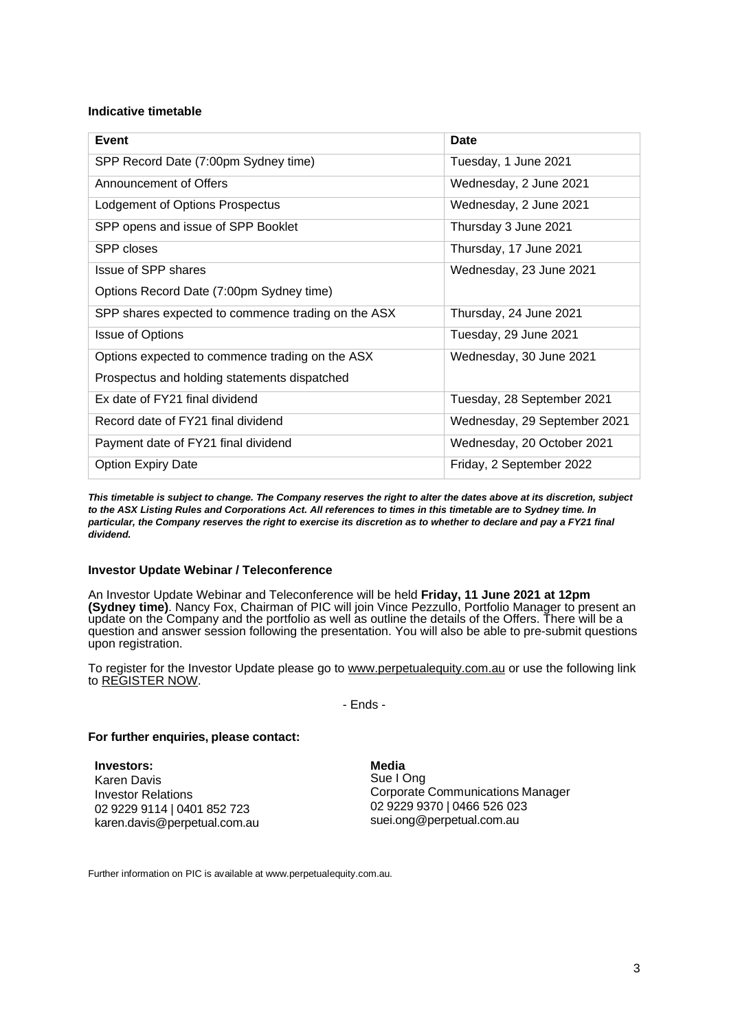### **Indicative timetable**

| Event                                              | Date                         |
|----------------------------------------------------|------------------------------|
| SPP Record Date (7:00pm Sydney time)               | Tuesday, 1 June 2021         |
| Announcement of Offers                             | Wednesday, 2 June 2021       |
| Lodgement of Options Prospectus                    | Wednesday, 2 June 2021       |
| SPP opens and issue of SPP Booklet                 | Thursday 3 June 2021         |
| SPP closes                                         | Thursday, 17 June 2021       |
| Issue of SPP shares                                | Wednesday, 23 June 2021      |
| Options Record Date (7:00pm Sydney time)           |                              |
| SPP shares expected to commence trading on the ASX | Thursday, 24 June 2021       |
| <b>Issue of Options</b>                            | Tuesday, 29 June 2021        |
| Options expected to commence trading on the ASX    | Wednesday, 30 June 2021      |
| Prospectus and holding statements dispatched       |                              |
| Ex date of FY21 final dividend                     | Tuesday, 28 September 2021   |
| Record date of FY21 final dividend                 | Wednesday, 29 September 2021 |
| Payment date of FY21 final dividend                | Wednesday, 20 October 2021   |
| <b>Option Expiry Date</b>                          | Friday, 2 September 2022     |

This timetable is subject to change. The Company reserves the right to alter the dates above at its discretion, subject to the ASX Listing Rules and Corporations Act. All references to times in this timetable are to Sydney time. In particular, the Company reserves the right to exercise its discretion as to whether to declare and pay a FY21 final *dividend.*

### **Investor Update Webinar / Teleconference**

An Investor Update Webinar and Teleconference will be held **Friday, 11 June 2021 at 12pm (Sydney time)**. Nancy Fox, Chairman of PIC will join Vince Pezzullo, Portfolio Manager to present an update on the Company and the portfolio as well as outline the details of the Offers. There will be a question and answer session following the presentation. You will also be able to pre-submit questions upon registration.

To register for the Investor Update please go to [www.perpetualequity.com.au](http://www.perpetualequity.com.au/) or use the following link to [REGISTER](https://s1.c-conf.com/DiamondPassRegistration/register?confirmationNumber=10014167&linkSecurityString=13dce9cda1) NOW.

- Ends -

#### **For further enquiries, please contact:**

**Investors:** Karen Davis Investor Relations 02 9229 9114 | 0401 852 723 karen.davis@perpetual.com.au **Media** Sue I Ong Corporate Communications Manager 02 9229 9370 | 0466 526 023 suei.ong@perpetual.com.au

Further information on PIC is available at [www.perpetualequity.com.au.](http://www.perpetualequity.com.au/)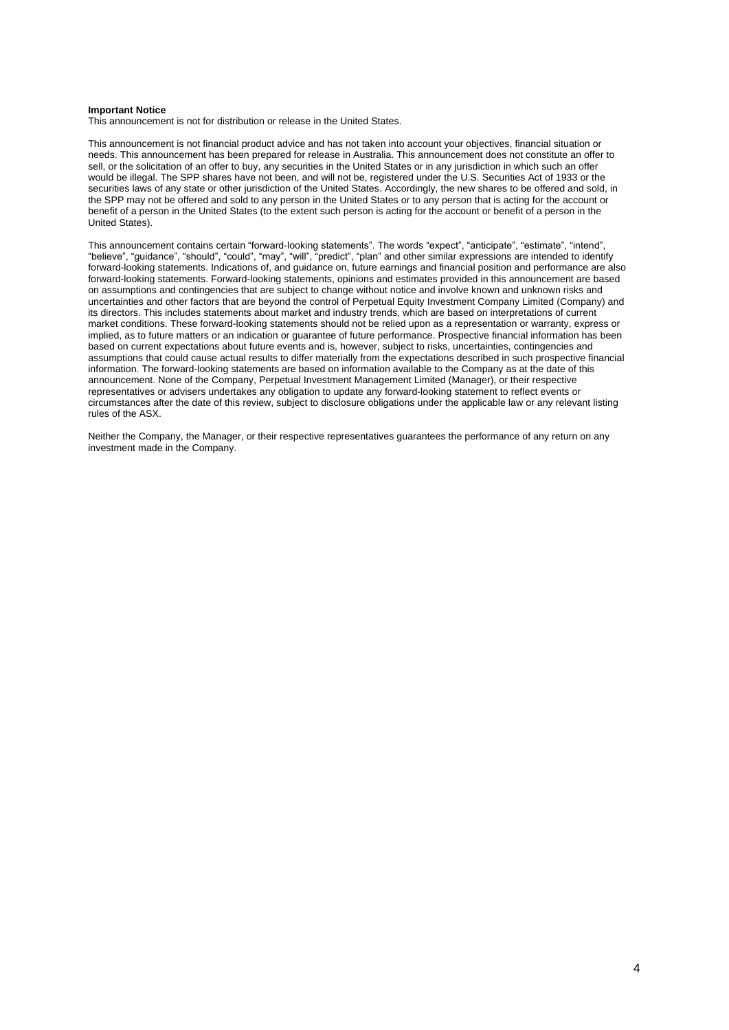#### **Important Notice**

This announcement is not for distribution or release in the United States.

This announcement is not financial product advice and has not taken into account your objectives, financial situation or needs. This announcement has been prepared for release in Australia. This announcement does not constitute an offer to sell, or the solicitation of an offer to buy, any securities in the United States or in any jurisdiction in which such an offer would be illegal. The SPP shares have not been, and will not be, registered under the U.S. Securities Act of 1933 or the securities laws of any state or other jurisdiction of the United States. Accordingly, the new shares to be offered and sold, in the SPP may not be offered and sold to any person in the United States or to any person that is acting for the account or benefit of a person in the United States (to the extent such person is acting for the account or benefit of a person in the United States).

This announcement contains certain "forward-looking statements". The words "expect", "anticipate", "estimate", "intend", "believe", "guidance", "should", "could", "may", "will", "predict", "plan" and other similar expressions are intended to identify forward-looking statements. Indications of, and guidance on, future earnings and financial position and performance are also forward-looking statements. Forward-looking statements, opinions and estimates provided in this announcement are based on assumptions and contingencies that are subject to change without notice and involve known and unknown risks and uncertainties and other factors that are beyond the control of Perpetual Equity Investment Company Limited (Company) and its directors. This includes statements about market and industry trends, which are based on interpretations of current market conditions. These forward-looking statements should not be relied upon as a representation or warranty, express or implied, as to future matters or an indication or guarantee of future performance. Prospective financial information has been based on current expectations about future events and is, however, subject to risks, uncertainties, contingencies and assumptions that could cause actual results to differ materially from the expectations described in such prospective financial information. The forward-looking statements are based on information available to the Company as at the date of this announcement. None of the Company, Perpetual Investment Management Limited (Manager), or their respective representatives or advisers undertakes any obligation to update any forward-looking statement to reflect events or circumstances after the date of this review, subject to disclosure obligations under the applicable law or any relevant listing rules of the ASX.

Neither the Company, the Manager, or their respective representatives guarantees the performance of any return on any investment made in the Company.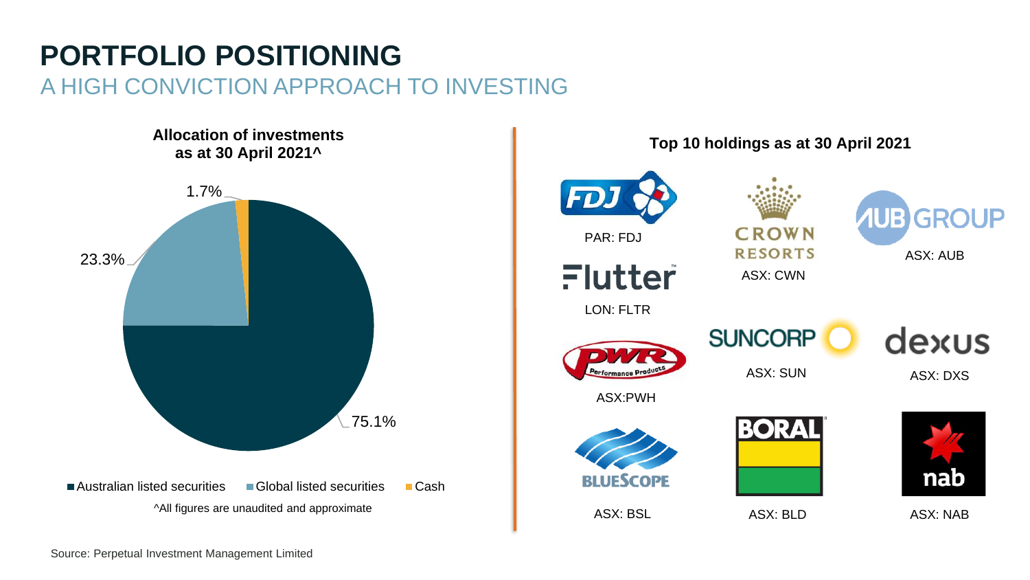## **PORTFOLIO POSITIONING** A HIGH CONVICTION APPROACH TO INVESTING



**Top 10 holdings as at 30 April 2021** FD **GROUP** B. **CROWN** PAR: FDJ **RESORTS** ASX: AUB Flutter ASX: CWN LON: FLTR dexus **SUNCORP** ASX: SUN ASX: DXSASX:PWH **BORAL** nab **BLUESCOPE** ASX: BSL ASX: BLD ASX: NAB